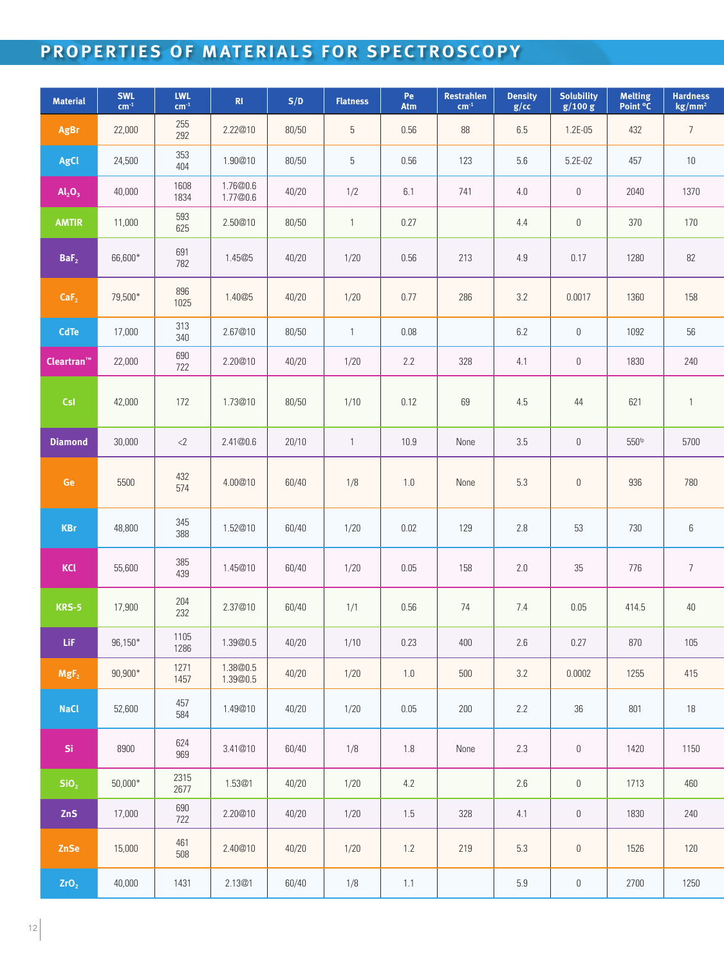## **PROPERTIES OF MATERIALS FOR SPECTROSCOPY**

| <b>Material</b>             | SWL<br>$cm-1$ | <b>LWL</b><br>$cm-1$ | R1                   | S/D   | <b>Flatness</b> | Pe<br>Atm | Restrahlen<br>$cm-1$ | <b>Density</b><br>g/cc | <b>Solubility</b><br>g/100 g | <b>Melting</b><br>Point °C | <b>Hardness</b><br>kg/mm <sup>2</sup> |  |
|-----------------------------|---------------|----------------------|----------------------|-------|-----------------|-----------|----------------------|------------------------|------------------------------|----------------------------|---------------------------------------|--|
| AgBr                        | 22,000        | 255<br>292           | 2.22@10              | 80/50 | 5               | 0.56      | 88                   | 6.5                    | $1.2E-05$                    | 432                        | $7\overline{ }$                       |  |
| AgCl                        | 24,500        | 353<br>404           | 1.90@10              | 80/50 | 5               | 0.56      | 123                  | 5.6                    | 5.2E-02                      | 457                        | 10                                    |  |
| $\mathsf{Al}_2\mathsf{O}_3$ | 40,000        | 1608<br>1834         | 1.76@0.6<br>1.77@0.6 | 40/20 | 1/2             | 6.1       | 741                  | 4.0                    | $\mathbf 0$                  | 2040                       | 1370                                  |  |
| <b>AMTIR</b>                | 11,000        | 593<br>625           | 2.50@10              | 80/50 | 1               | 0.27      |                      | 4.4                    | $\mathbb O$                  | 370                        | 170                                   |  |
| BaF <sub>2</sub>            | 66,600*       | 691<br>782           | 1.45@5               | 40/20 | 1/20            | 0.56      | 213                  | 4.9                    | 0.17                         | 1280                       | 82                                    |  |
| CaF <sub>2</sub>            | 79,500*       | 896<br>1025          | 1.40@5               | 40/20 | 1/20            | 0.77      | 286                  | 3.2                    | 0.0017                       | 1360                       | 158                                   |  |
| <b>CdTe</b>                 | 17,000        | 313<br>340           | 2.67@10              | 80/50 | $\mathbf{1}$    | 0.08      |                      | 6.2                    | $\mathbb O$                  | 1092                       | 56                                    |  |
| Cleartran"                  | 22,000        | 690<br>722           | 2.20@10              | 40/20 | 1/20            | 2.2       | 328                  | 4.1                    | $\mathbb O$                  | 1830                       | 240                                   |  |
| <b>CsI</b>                  | 42,000        | 172                  | 1.73@10              | 80/50 | 1/10            | 0.12      | 69                   | 4.5                    | $44$                         | 621                        |                                       |  |
| <b>Diamond</b>              | 30,000        | $<$ 2                | 2.41@0.6             | 20/10 | -1              | 10.9      | None                 | 3.5                    | $\mathbb O$                  | 550 <sup>fp</sup>          | 5700                                  |  |
| Ge                          | 5500          | 432<br>574           | 4.00@10              | 60/40 | 1/8             | 1.0       | None                 | 5.3                    | $\mathbb O$                  | 936                        | 780                                   |  |
| <b>KBr</b>                  | 48,800        | 345<br>388           | 1.52@10              | 60/40 | 1/20            | 0.02      | 129                  | 2.8                    | 53                           | 730                        | $6\,$                                 |  |
| <b>KCI</b>                  | 55,600        | 385<br>439           | 1.45@10              | 60/40 | 1/20            | 0.05      | 158                  | 2.0                    | $35\,$                       | 776                        | $\overline{7}$                        |  |
| <b>KRS-5</b>                | 17,900        | 204<br>232           | 2.37@10              | 60/40 | 1/1             | 0.56      | 74                   | 7.4                    | 0.05                         | 414.5                      | $40\,$                                |  |
| LiF                         | $96,150*$     | $\vert$ 1105<br>1286 | 1.39@0.5             | 40/20 | 1/10            | 0.23      | 400                  | 2.6                    | 0.27                         | 870                        | 105                                   |  |
| MgF <sub>2</sub>            | $90,900*$     | 1271<br>1457         | 1.38@0.5<br>1.39@0.5 | 40/20 | 1/20            | 1.0       | 500                  | 3.2                    | 0.0002                       | 1255                       | 415                                   |  |
| <b>NaCl</b>                 | 52,600        | 457<br>584           | 1.49@10              | 40/20 | 1/20            | 0.05      | 200                  | 2.2                    | $36\,$                       | 801                        | 18                                    |  |
| Si.                         | 8900          | 624<br>969           | 3.41@10              | 60/40 | 1/8             | 1.8       | None                 | 2.3                    | $\mathbf 0$                  | 1420                       | 1150                                  |  |
| SiO <sub>2</sub>            | $50,000*$     | 2315<br>2677         | 1.53@1               | 40/20 | 1/20            | 4.2       |                      | 2.6                    | $\mathbb O$                  | 1713                       | 460                                   |  |
| ZnS                         | 17,000        | 690<br>722           | 2.20@10              | 40/20 | 1/20            | 1.5       | 328                  | 4.1                    | $\mathbb O$                  | 1830                       | 240                                   |  |
| ZnSe                        | 15,000        | 461<br>508           | 2.40@10              | 40/20 | 1/20            | 1.2       | 219                  | 5.3                    | $\mathbb O$                  | 1526                       | 120                                   |  |
| ZrO <sub>2</sub>            | 40,000        | 1431                 | 2.13@1               | 60/40 | 1/8             | 1.1       |                      | 5.9                    | $\mathbb O$                  | 2700                       | 1250                                  |  |